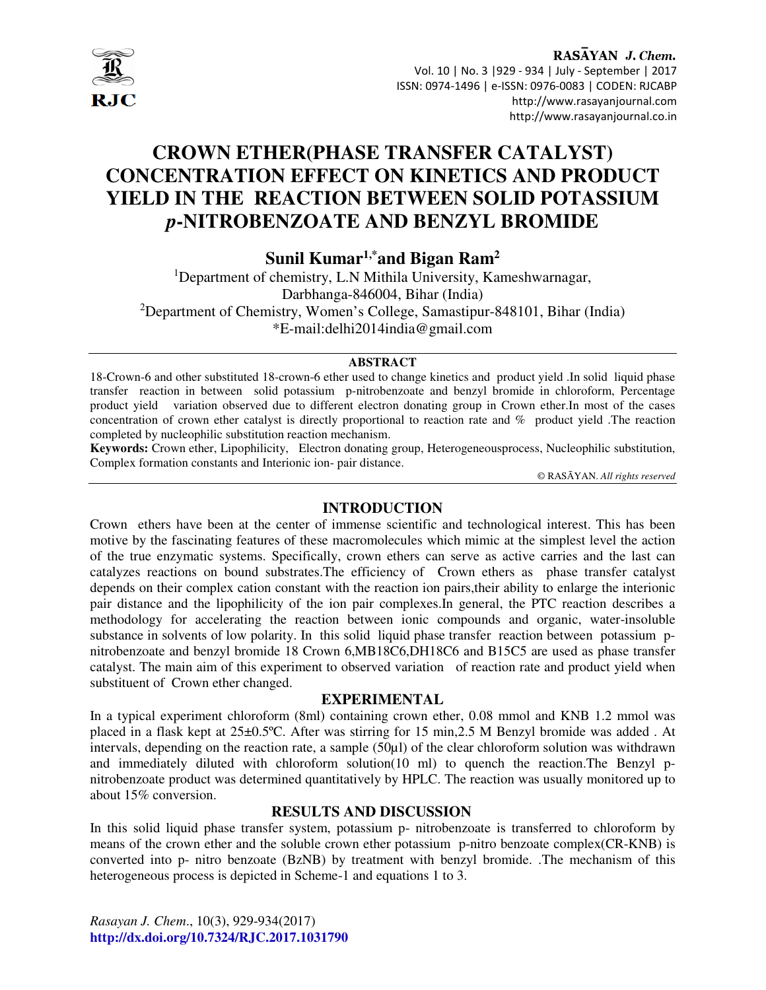

## RASAYAN J. Chem. Vol. 10 | No. 3 |929 - 934 | July - September | 2017 ISSN: 0974-1496 | e-ISSN: 0976-0083 | CODEN: RJCABP http://www.rasayanjournal.com http://www.rasayanjournal.co.in

# **CROWN ETHER(PHASE TRANSFER CATALYST) CONCENTRATION EFFECT ON KINETICS AND PRODUCT YIELD IN THE REACTION BETWEEN SOLID POTASSIUM**  *p***-NITROBENZOATE AND BENZYL BROMIDE**

**Sunil Kumar1,\*and Bigan Ram<sup>2</sup>**

<sup>1</sup>Department of chemistry, L.N Mithila University, Kameshwarnagar, Darbhanga-846004, Bihar (India) <sup>2</sup>Department of Chemistry, Women's College, Samastipur-848101, Bihar (India) \*E-mail:delhi2014india@gmail.com

### **ABSTRACT**

18-Crown-6 and other substituted 18-crown-6 ether used to change kinetics and product yield .In solid liquid phase transfer reaction in between solid potassium p-nitrobenzoate and benzyl bromide in chloroform, Percentage product yield variation observed due to different electron donating group in Crown ether.In most of the cases concentration of crown ether catalyst is directly proportional to reaction rate and % product yield .The reaction completed by nucleophilic substitution reaction mechanism.

**Keywords:** Crown ether, Lipophilicity, Electron donating group, Heterogeneousprocess, Nucleophilic substitution, Complex formation constants and Interionic ion- pair distance.

© RASĀYAN. *All rights reserved*

## **INTRODUCTION**

Crown ethers have been at the center of immense scientific and technological interest. This has been motive by the fascinating features of these macromolecules which mimic at the simplest level the action of the true enzymatic systems. Specifically, crown ethers can serve as active carries and the last can catalyzes reactions on bound substrates.The efficiency of Crown ethers as phase transfer catalyst depends on their complex cation constant with the reaction ion pairs,their ability to enlarge the interionic pair distance and the lipophilicity of the ion pair complexes.In general, the PTC reaction describes a methodology for accelerating the reaction between ionic compounds and organic, water-insoluble substance in solvents of low polarity. In this solid liquid phase transfer reaction between potassium pnitrobenzoate and benzyl bromide 18 Crown 6,MB18C6,DH18C6 and B15C5 are used as phase transfer catalyst. The main aim of this experiment to observed variation of reaction rate and product yield when substituent of Crown ether changed.

### **EXPERIMENTAL**

In a typical experiment chloroform (8ml) containing crown ether, 0.08 mmol and KNB 1.2 mmol was placed in a flask kept at 25±0.5ºC. After was stirring for 15 min,2.5 M Benzyl bromide was added . At intervals, depending on the reaction rate, a sample (50µl) of the clear chloroform solution was withdrawn and immediately diluted with chloroform solution(10 ml) to quench the reaction.The Benzyl pnitrobenzoate product was determined quantitatively by HPLC. The reaction was usually monitored up to about 15% conversion.

## **RESULTS AND DISCUSSION**

In this solid liquid phase transfer system, potassium p- nitrobenzoate is transferred to chloroform by means of the crown ether and the soluble crown ether potassium p-nitro benzoate complex(CR-KNB) is converted into p- nitro benzoate (BzNB) by treatment with benzyl bromide. .The mechanism of this heterogeneous process is depicted in Scheme-1 and equations 1 to 3.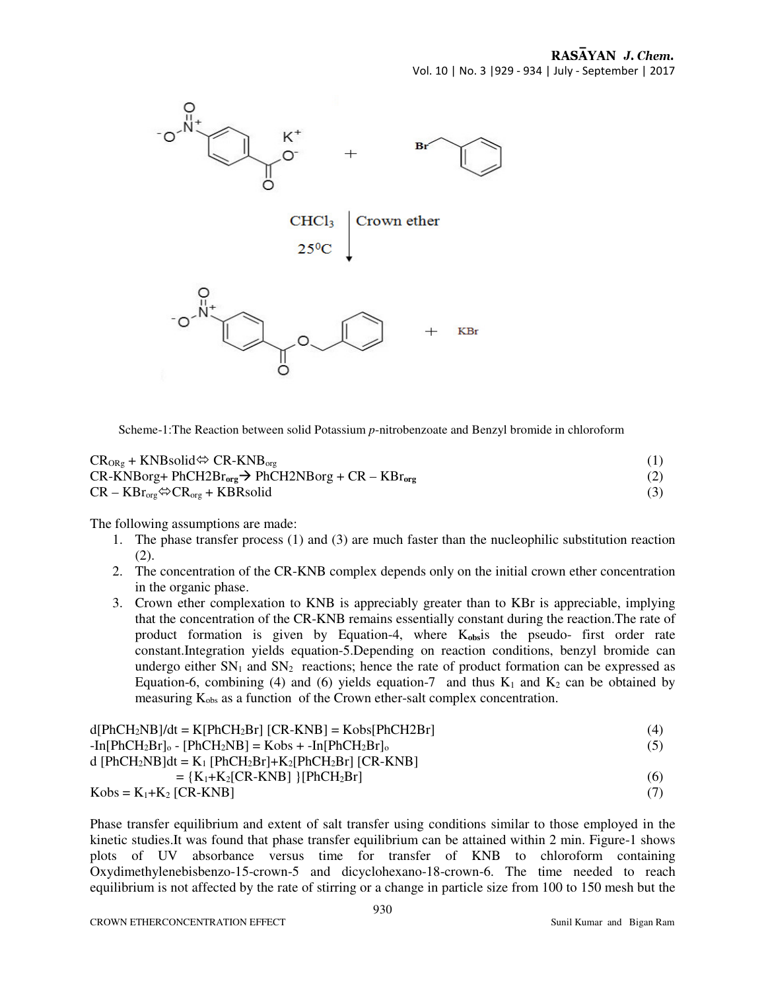

Scheme-1:The Reaction between solid Potassium *p*-nitrobenzoate and Benzyl bromide in chloroform

| $CR_{ORg}$ + KNBsolid $\Leftrightarrow$ CR-KNB <sub>org</sub> |     |
|---------------------------------------------------------------|-----|
| $CR-KNBorg+PhCH2Brorg \rightarrow PhCH2NBorg + CR - KBrorg$   | (2) |
| $CR - KBrorg \Leftrightarrow CRorg + KBR solid$               | (3) |

The following assumptions are made:

- 1. The phase transfer process (1) and (3) are much faster than the nucleophilic substitution reaction (2).
- 2. The concentration of the CR-KNB complex depends only on the initial crown ether concentration in the organic phase.
- 3. Crown ether complexation to KNB is appreciably greater than to KBr is appreciable, implying that the concentration of the CR-KNB remains essentially constant during the reaction.The rate of product formation is given by Equation-4, where K**obs**is the pseudo- first order rate constant.Integration yields equation-5.Depending on reaction conditions, benzyl bromide can undergo either  $SN_1$  and  $SN_2$  reactions; hence the rate of product formation can be expressed as Equation-6, combining (4) and (6) yields equation-7 and thus  $K_1$  and  $K_2$  can be obtained by measuring  $K_{obs}$  as a function of the Crown ether-salt complex concentration.

| $d[PhCH2NB]/dt = K[PhCH2Br] [CR-KNB] = Kobs[PhCH2Br]$                                            | (4) |
|--------------------------------------------------------------------------------------------------|-----|
| $-$ In $[PhCH_2Br]_0 - [PhCH_2NB] = Kobs + -In[PhCH_2Br]_0$                                      | (5) |
| d [PhCH <sub>2</sub> NB]dt = $K_1$ [PhCH <sub>2</sub> Br]+ $K_2$ [PhCH <sub>2</sub> Br] [CR-KNB] |     |
| $= {K_1+K_2[CR-KNB]} [PhCH_2Br]$                                                                 | (6) |
| $Kobs = K_1 + K_2 [CR-KNB]$                                                                      |     |

Phase transfer equilibrium and extent of salt transfer using conditions similar to those employed in the kinetic studies.It was found that phase transfer equilibrium can be attained within 2 min. Figure-1 shows plots of UV absorbance versus time for transfer of KNB to chloroform containing Oxydimethylenebisbenzo-15-crown-5 and dicyclohexano-18-crown-6. The time needed to reach equilibrium is not affected by the rate of stirring or a change in particle size from 100 to 150 mesh but the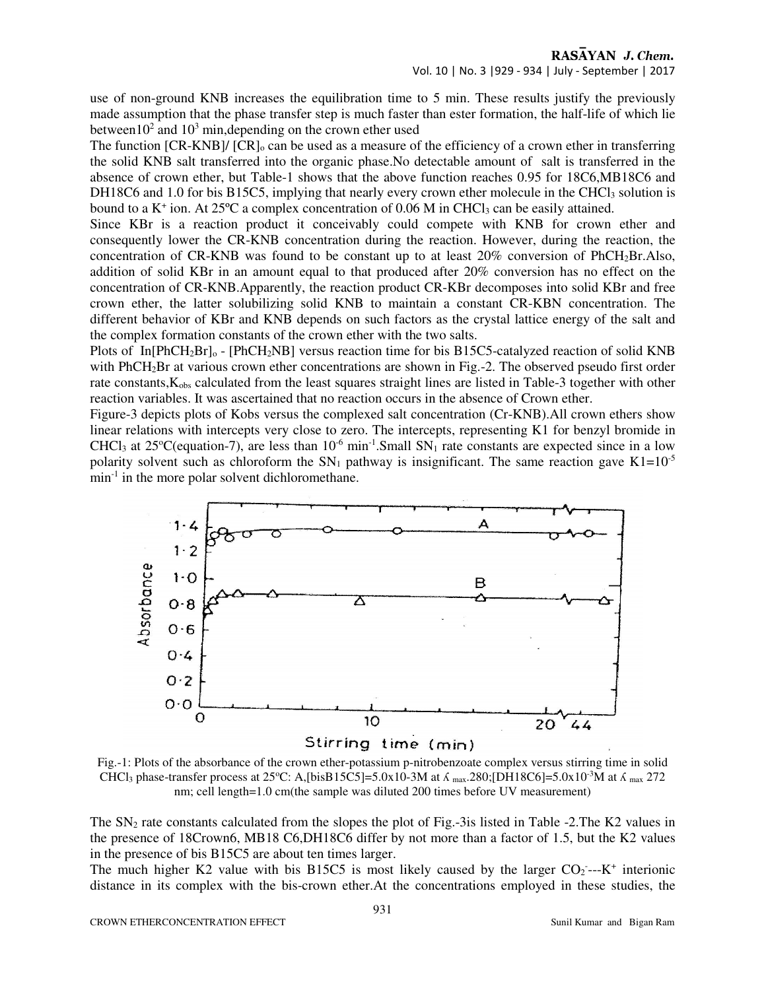use of non-ground KNB increases the equilibration time to 5 min. These results justify the previously made assumption that the phase transfer step is much faster than ester formation, the half-life of which lie between  $10^2$  and  $10^3$  min, depending on the crown ether used

The function  $[CR-KNB]/ [CR]_0$  can be used as a measure of the efficiency of a crown ether in transferring the solid KNB salt transferred into the organic phase.No detectable amount of salt is transferred in the absence of crown ether, but Table-1 shows that the above function reaches 0.95 for 18C6,MB18C6 and DH18C6 and 1.0 for bis B15C5, implying that nearly every crown ether molecule in the CHCl<sub>3</sub> solution is bound to a  $K^+$  ion. At 25 $\degree$ C a complex concentration of 0.06 M in CHCl<sub>3</sub> can be easily attained.

Since KBr is a reaction product it conceivably could compete with KNB for crown ether and consequently lower the CR-KNB concentration during the reaction. However, during the reaction, the concentration of CR-KNB was found to be constant up to at least 20% conversion of PhCH2Br.Also, addition of solid KBr in an amount equal to that produced after 20% conversion has no effect on the concentration of CR-KNB.Apparently, the reaction product CR-KBr decomposes into solid KBr and free crown ether, the latter solubilizing solid KNB to maintain a constant CR-KBN concentration. The different behavior of KBr and KNB depends on such factors as the crystal lattice energy of the salt and the complex formation constants of the crown ether with the two salts.

Plots of In[PhCH<sub>2</sub>Br]<sub>o</sub> - [PhCH<sub>2</sub>NB] versus reaction time for bis B15C5-catalyzed reaction of solid KNB with PhCH<sub>2</sub>Br at various crown ether concentrations are shown in Fig.-2. The observed pseudo first order rate constants, K<sub>obs</sub> calculated from the least squares straight lines are listed in Table-3 together with other reaction variables. It was ascertained that no reaction occurs in the absence of Crown ether.

Figure-3 depicts plots of Kobs versus the complexed salt concentration (Cr-KNB).All crown ethers show linear relations with intercepts very close to zero. The intercepts, representing K1 for benzyl bromide in CHCl<sub>3</sub> at 25<sup>o</sup>C(equation-7), are less than  $10^{-6}$  min<sup>-1</sup>. Small SN<sub>1</sub> rate constants are expected since in a low polarity solvent such as chloroform the  $SN_1$  pathway is insignificant. The same reaction gave  $K1=10^{-5}$ min<sup>-1</sup> in the more polar solvent dichloromethane.



Fig.-1: Plots of the absorbance of the crown ether-potassium p-nitrobenzoate complex versus stirring time in solid CHCl<sub>3</sub> phase-transfer process at 25°C: A,[bisB15C5]=5.0x10-3M at  $\Lambda$  max.280;[DH18C6]=5.0x10<sup>-3</sup>M at  $\Lambda$  max 272 nm; cell length=1.0 cm(the sample was diluted 200 times before UV measurement)

The  $SN_2$  rate constants calculated from the slopes the plot of Fig.-3is listed in Table -2. The K2 values in the presence of 18Crown6, MB18 C6,DH18C6 differ by not more than a factor of 1.5, but the K2 values in the presence of bis B15C5 are about ten times larger.

The much higher K2 value with bis B15C5 is most likely caused by the larger  $CO_2$ ---K<sup>+</sup> interionic distance in its complex with the bis-crown ether.At the concentrations employed in these studies, the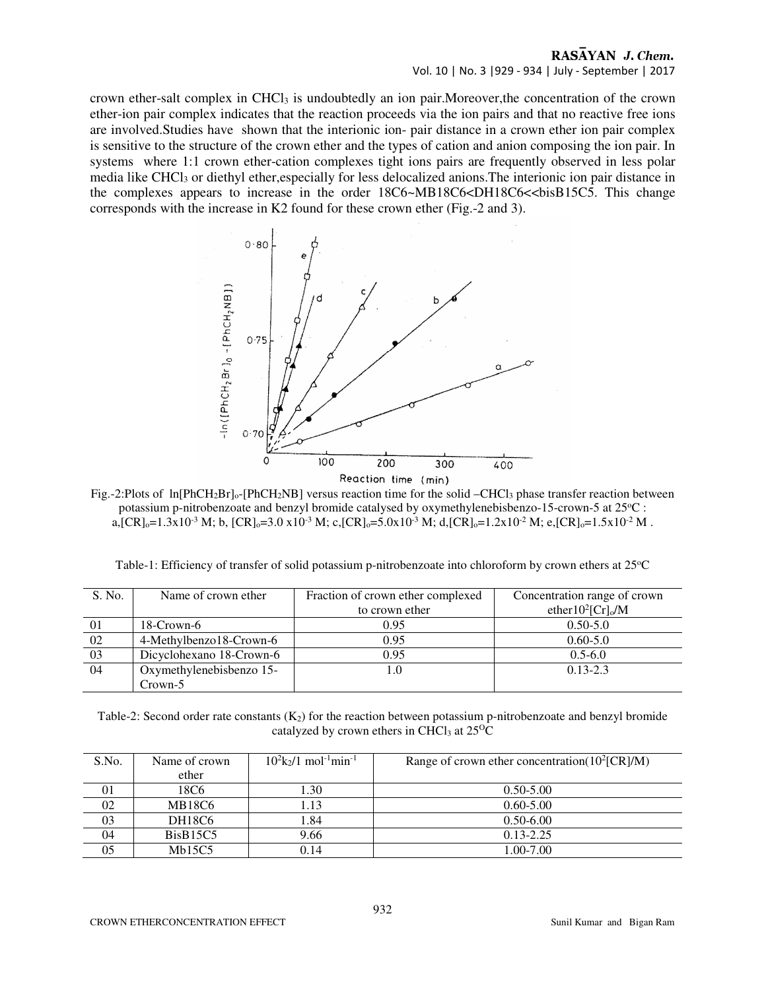## RASAYAN J. Chem. Vol. 10 | No. 3 |929 - 934 | July - September | 2017

crown ether-salt complex in CHCl3 is undoubtedly an ion pair.Moreover,the concentration of the crown ether-ion pair complex indicates that the reaction proceeds via the ion pairs and that no reactive free ions are involved.Studies have shown that the interionic ion- pair distance in a crown ether ion pair complex is sensitive to the structure of the crown ether and the types of cation and anion composing the ion pair. In systems where 1:1 crown ether-cation complexes tight ions pairs are frequently observed in less polar media like CHCl3 or diethyl ether,especially for less delocalized anions.The interionic ion pair distance in the complexes appears to increase in the order  $18C6 \sim MB18C6 \ll DB18C6 \ll bisB15C5$ . This change corresponds with the increase in K2 found for these crown ether (Fig.-2 and 3).



Fig.-2:Plots of ln[PhCH<sub>2</sub>Br]<sub>o</sub>-[PhCH<sub>2</sub>NB] versus reaction time for the solid –CHCl<sub>3</sub> phase transfer reaction between potassium p-nitrobenzoate and benzyl bromide catalysed by oxymethylenebisbenzo-15-crown-5 at 25°C : a,  $[CR]_0 = 1.3x10^{-3}$  M; b,  $[CR]_0 = 3.0 x10^{-3}$  M; c,  $[CR]_0 = 5.0x10^{-3}$  M; d,  $[CR]_0 = 1.2x10^{-2}$  M; e,  $[CR]_0 = 1.5x10^{-2}$  M.

| S. No. | Name of crown ether      | Fraction of crown ether complexed | Concentration range of crown      |
|--------|--------------------------|-----------------------------------|-----------------------------------|
|        |                          | to crown ether                    | ether $10^2$ [Cr] <sub>o</sub> /M |
| 01     | 18-Crown-6               | 0.95                              | $0.50 - 5.0$                      |
| 02     | 4-Methylbenzo18-Crown-6  | 0.95                              | $0.60 - 5.0$                      |
| 03     | Dicyclohexano 18-Crown-6 | 0.95                              | $0.5 - 6.0$                       |
| 04     | Oxymethylenebisbenzo 15- |                                   | $0.13 - 2.3$                      |

Table-1: Efficiency of transfer of solid potassium p-nitrobenzoate into chloroform by crown ethers at 25°C

Table-2: Second order rate constants  $(K_2)$  for the reaction between potassium p-nitrobenzoate and benzyl bromide catalyzed by crown ethers in CHCl<sub>3</sub> at  $25^{\circ}$ C

| S.No. | Name of crown | $10^2$ k <sub>2</sub> /1 mol <sup>-1</sup> min <sup>-1</sup> | Range of crown ether concentration( $10^2$ [CR]/M) |  |
|-------|---------------|--------------------------------------------------------------|----------------------------------------------------|--|
|       | ether         |                                                              |                                                    |  |
| 01    | 18C6          | 1.30                                                         | $0.50 - 5.00$                                      |  |
| 02    | <b>MB18C6</b> | 1.13                                                         | $0.60 - 5.00$                                      |  |
| 03    | DH18C6        | 1.84                                                         | $0.50 - 6.00$                                      |  |
| 04    | BisB15C5      | 9.66                                                         | $0.13 - 2.25$                                      |  |
| 05    | Mb15C5        | 0.14                                                         | 1.00-7.00                                          |  |

Crown-5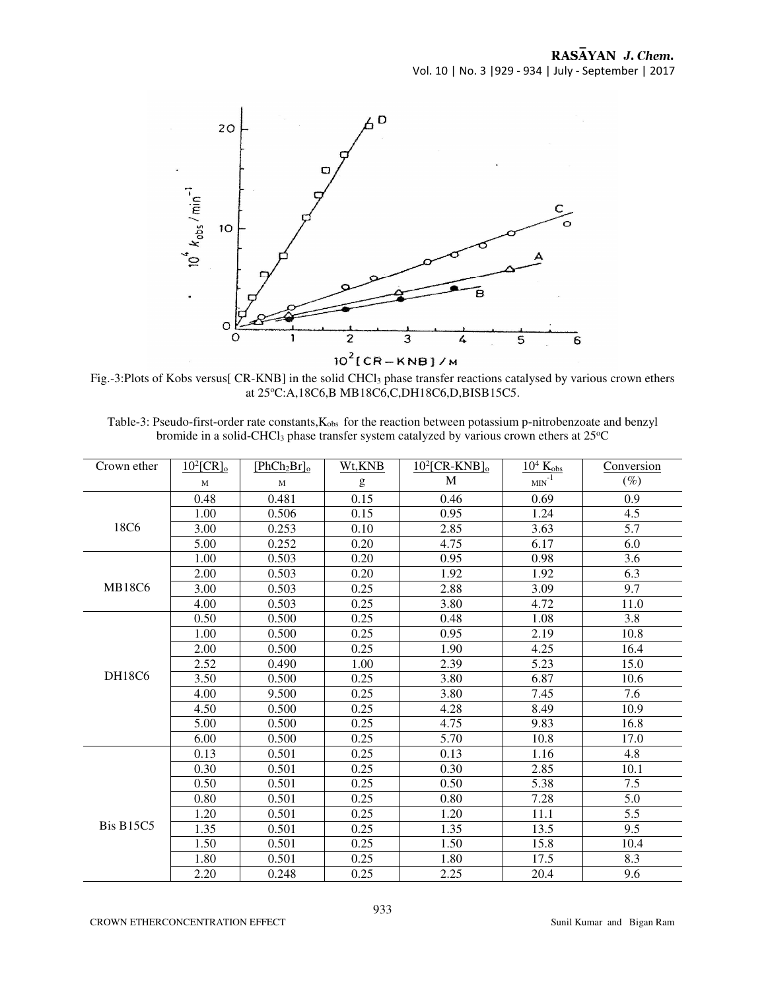

Fig.-3:Plots of Kobs versus[ CR-KNB] in the solid CHCl3 phase transfer reactions catalysed by various crown ethers at 25°C:A,18C6,B MB18C6,C,DH18C6,D,BISB15C5.

| Table-3: Pseudo-first-order rate constants, $K_{obs}$ for the reaction between potassium p-nitrobenzoate and benzyl |
|---------------------------------------------------------------------------------------------------------------------|
| bromide in a solid-CHCl <sub>3</sub> phase transfer system catalyzed by various crown ethers at 25 <sup>o</sup> C   |

| Crown ether      | $10^2$ [CR] <sub>o</sub> | $[PhCh2Br]_o$ | Wt, KNB | $10^2$ [CR-KNB] <sub>o</sub> | $10^4$ K <sub>obs</sub> | Conversion |
|------------------|--------------------------|---------------|---------|------------------------------|-------------------------|------------|
|                  | M                        | M             | g       | M                            | $\mbox{MIN}^{-1}$       | $(\%)$     |
|                  | 0.48                     | 0.481         | 0.15    | 0.46                         | 0.69                    | 0.9        |
|                  | 1.00                     | 0.506         | 0.15    | 0.95                         | 1.24                    | 4.5        |
| 18C6             | 3.00                     | 0.253         | 0.10    | 2.85                         | 3.63                    | 5.7        |
|                  | 5.00                     | 0.252         | 0.20    | 4.75                         | 6.17                    | 6.0        |
|                  | 1.00                     | 0.503         | 0.20    | 0.95                         | 0.98                    | 3.6        |
|                  | 2.00                     | 0.503         | 0.20    | 1.92                         | 1.92                    | 6.3        |
| <b>MB18C6</b>    | 3.00                     | 0.503         | 0.25    | 2.88                         | 3.09                    | 9.7        |
|                  | 4.00                     | 0.503         | 0.25    | 3.80                         | 4.72                    | 11.0       |
|                  | 0.50                     | 0.500         | 0.25    | 0.48                         | 1.08                    | 3.8        |
|                  | 1.00                     | 0.500         | 0.25    | 0.95                         | 2.19                    | 10.8       |
|                  | 2.00                     | 0.500         | 0.25    | 1.90                         | 4.25                    | 16.4       |
|                  | 2.52                     | 0.490         | 1.00    | 2.39                         | 5.23                    | 15.0       |
| <b>DH18C6</b>    | 3.50                     | 0.500         | 0.25    | 3.80                         | 6.87                    | 10.6       |
|                  | 4.00                     | 9.500         | 0.25    | 3.80                         | 7.45                    | 7.6        |
|                  | 4.50                     | 0.500         | 0.25    | 4.28                         | 8.49                    | 10.9       |
|                  | 5.00                     | 0.500         | 0.25    | 4.75                         | 9.83                    | 16.8       |
|                  | 6.00                     | 0.500         | 0.25    | 5.70                         | 10.8                    | 17.0       |
|                  | 0.13                     | 0.501         | 0.25    | 0.13                         | 1.16                    | 4.8        |
| <b>Bis B15C5</b> | 0.30                     | 0.501         | 0.25    | 0.30                         | 2.85                    | 10.1       |
|                  | 0.50                     | 0.501         | 0.25    | 0.50                         | 5.38                    | 7.5        |
|                  | 0.80                     | 0.501         | 0.25    | 0.80                         | 7.28                    | 5.0        |
|                  | 1.20                     | 0.501         | 0.25    | 1.20                         | 11.1                    | 5.5        |
|                  | 1.35                     | 0.501         | 0.25    | 1.35                         | 13.5                    | 9.5        |
|                  | 1.50                     | 0.501         | 0.25    | 1.50                         | 15.8                    | 10.4       |
|                  | 1.80                     | 0.501         | 0.25    | 1.80                         | 17.5                    | 8.3        |
|                  | 2.20                     | 0.248         | 0.25    | 2.25                         | 20.4                    | 9.6        |